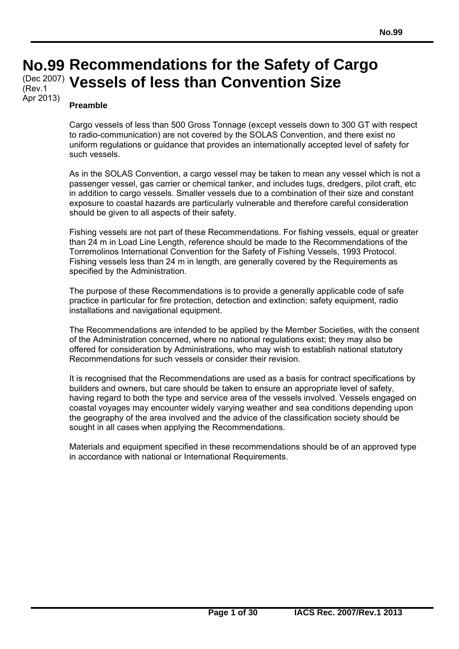## **No. No.99 Recommendations for the Safety of Cargo 99**  (Dec 2007) **Vessels of less than Convention Size**  (Rev.1

#### **Preamble**

 $\overline{a}$ 

Apr 2013)

Cargo vessels of less than 500 Gross Tonnage (except vessels down to 300 GT with respect to radio-communication) are not covered by the SOLAS Convention, and there exist no uniform regulations or guidance that provides an internationally accepted level of safety for such vessels.

As in the SOLAS Convention, a cargo vessel may be taken to mean any vessel which is not a passenger vessel, gas carrier or chemical tanker, and includes tugs, dredgers, pilot craft, etc in addition to cargo vessels. Smaller vessels due to a combination of their size and constant exposure to coastal hazards are particularly vulnerable and therefore careful consideration should be given to all aspects of their safety.

Fishing vessels are not part of these Recommendations. For fishing vessels, equal or greater than 24 m in Load Line Length, reference should be made to the Recommendations of the Torremolinos International Convention for the Safety of Fishing Vessels, 1993 Protocol. Fishing vessels less than 24 m in length, are generally covered by the Requirements as specified by the Administration.

The purpose of these Recommendations is to provide a generally applicable code of safe practice in particular for fire protection, detection and extinction; safety equipment, radio installations and navigational equipment.

The Recommendations are intended to be applied by the Member Societies, with the consent of the Administration concerned, where no national regulations exist; they may also be offered for consideration by Administrations, who may wish to establish national statutory Recommendations for such vessels or consider their revision.

It is recognised that the Recommendations are used as a basis for contract specifications by builders and owners, but care should be taken to ensure an appropriate level of safety, having regard to both the type and service area of the vessels involved. Vessels engaged on coastal voyages may encounter widely varying weather and sea conditions depending upon the geography of the area involved and the advice of the classification society should be sought in all cases when applying the Recommendations.

Materials and equipment specified in these recommendations should be of an approved type in accordance with national or International Requirements.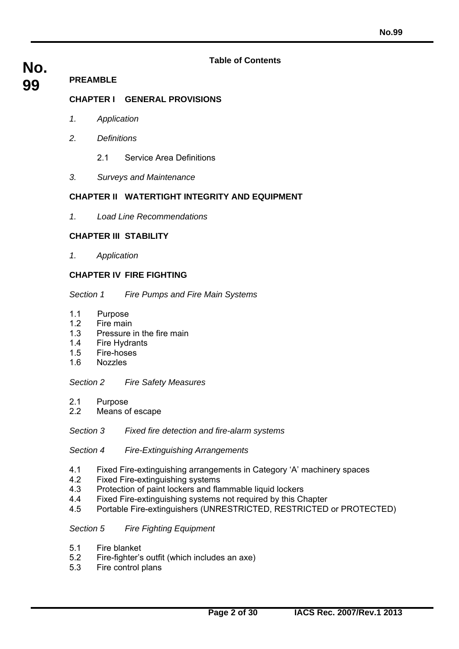#### **Table of Contents**

# **No.**

#### **99 PREAMBLE**

### **CHAPTER I GENERAL PROVISIONS**

- *1. Application*
- *2. Definitions* 
	- 2.1 Service Area Definitions
- *3. Surveys and Maintenance*

#### **CHAPTER II WATERTIGHT INTEGRITY AND EQUIPMENT**

*1. Load Line Recommendations* 

#### **CHAPTER III STABILITY**

*1. Application*

#### **CHAPTER IV FIRE FIGHTING**

#### *Section 1 Fire Pumps and Fire Main Systems*

- 1.1 Purpose
- 1.2 Fire main
- 1.3 Pressure in the fire main
- 1.4 Fire Hydrants
- 1.5 Fire-hoses
- 1.6 Nozzles

#### *Section 2 Fire Safety Measures*

- 2.1 Purpose
- 2.2 Means of escape
- *Section 3 Fixed fire detection and fire-alarm systems*

#### *Section 4 Fire-Extinguishing Arrangements*

- 4.1 Fixed Fire-extinguishing arrangements in Category 'A' machinery spaces
- 4.2 Fixed Fire-extinguishing systems
- 4.3 Protection of paint lockers and flammable liquid lockers
- 4.4 Fixed Fire-extinguishing systems not required by this Chapter
- 4.5 Portable Fire-extinguishers (UNRESTRICTED, RESTRICTED or PROTECTED)

#### *Section 5 Fire Fighting Equipment*

- 5.1 Fire blanket
- 5.2 Fire-fighter's outfit (which includes an axe)
- 5.3 Fire control plans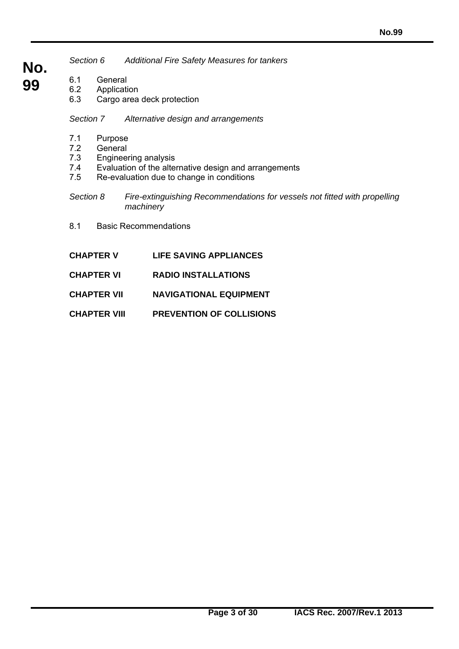- *Section 6 Additional Fire Safety Measures for tankers*
- **No. 99**
- 
- 6.1 General<br>6.2 Applicati **Application** 
	- 6.3 Cargo area deck protection

*Section 7 Alternative design and arrangements*

- 7.1 Purpose<br>7.2 General
- General
- 7.3 Engineering analysis
- 7.4 Evaluation of the alternative design and arrangements
- 7.5 Re-evaluation due to change in conditions
- *Section 8 Fire-extinguishing Recommendations for vessels not fitted with propelling machinery*
- 8.1 Basic Recommendations

- **CHAPTER V LIFE SAVING APPLIANCES**
- **CHAPTER VI RADIO INSTALLATIONS**
- **CHAPTER VII NAVIGATIONAL EQUIPMENT**
- **CHAPTER VIII PREVENTION OF COLLISIONS**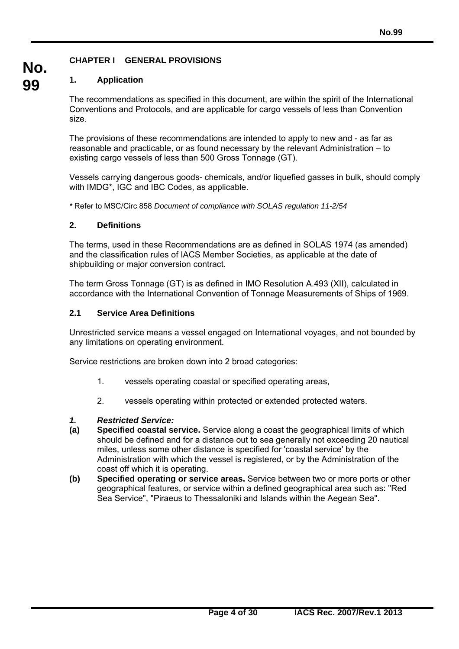### **CHAPTER I GENERAL PROVISIONS**

#### **1. Application**

**No.**

**99** 

The recommendations as specified in this document, are within the spirit of the International Conventions and Protocols, and are applicable for cargo vessels of less than Convention size.

The provisions of these recommendations are intended to apply to new and - as far as reasonable and practicable, or as found necessary by the relevant Administration – to existing cargo vessels of less than 500 Gross Tonnage (GT).

Vessels carrying dangerous goods- chemicals, and/or liquefied gasses in bulk, should comply with IMDG\*, IGC and IBC Codes, as applicable.

*\** Refer to MSC/Circ 858 *Document of compliance with SOLAS regulation 11-2/54* 

#### **2. Definitions**

The terms, used in these Recommendations are as defined in SOLAS 1974 (as amended) and the classification rules of IACS Member Societies, as applicable at the date of shipbuilding or major conversion contract.

The term Gross Tonnage (GT) is as defined in IMO Resolution A.493 (XII), calculated in accordance with the International Convention of Tonnage Measurements of Ships of 1969.

#### **2.1 Service Area Definitions**

Unrestricted service means a vessel engaged on International voyages, and not bounded by any limitations on operating environment.

Service restrictions are broken down into 2 broad categories:

- 1. vessels operating coastal or specified operating areas,
- 2. vessels operating within protected or extended protected waters.

#### *1. Restricted Service:*

- **(a) Specified coastal service.** Service along a coast the geographical limits of which should be defined and for a distance out to sea generally not exceeding 20 nautical miles, unless some other distance is specified for 'coastal service' by the Administration with which the vessel is registered, or by the Administration of the coast off which it is operating.
- **(b) Specified operating or service areas.** Service between two or more ports or other geographical features, or service within a defined geographical area such as: "Red Sea Service", "Piraeus to Thessaloniki and Islands within the Aegean Sea".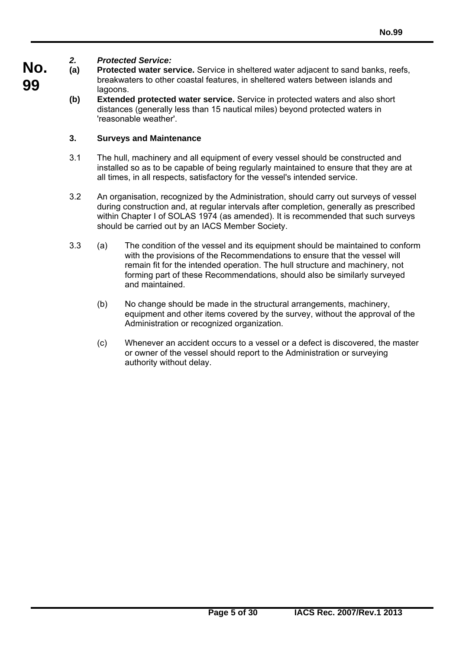#### **No.** *2. Protected Service:*

**99** 

- **(a) Protected water service.** Service in sheltered water adjacent to sand banks, reefs, breakwaters to other coastal features, in sheltered waters between islands and lagoons.
	- **(b) Extended protected water service.** Service in protected waters and also short distances (generally less than 15 nautical miles) beyond protected waters in 'reasonable weather'.

### **3. Surveys and Maintenance**

- 3.1 The hull, machinery and all equipment of every vessel should be constructed and installed so as to be capable of being regularly maintained to ensure that they are at all times, in all respects, satisfactory for the vessel's intended service.
- 3.2 An organisation, recognized by the Administration, should carry out surveys of vessel during construction and, at regular intervals after completion, generally as prescribed within Chapter I of SOLAS 1974 (as amended). It is recommended that such surveys should be carried out by an IACS Member Society.
- 3.3 (a) The condition of the vessel and its equipment should be maintained to conform with the provisions of the Recommendations to ensure that the vessel will remain fit for the intended operation. The hull structure and machinery, not forming part of these Recommendations, should also be similarly surveyed and maintained.
	- (b) No change should be made in the structural arrangements, machinery, equipment and other items covered by the survey, without the approval of the Administration or recognized organization.
	- (c) Whenever an accident occurs to a vessel or a defect is discovered, the master or owner of the vessel should report to the Administration or surveying authority without delay.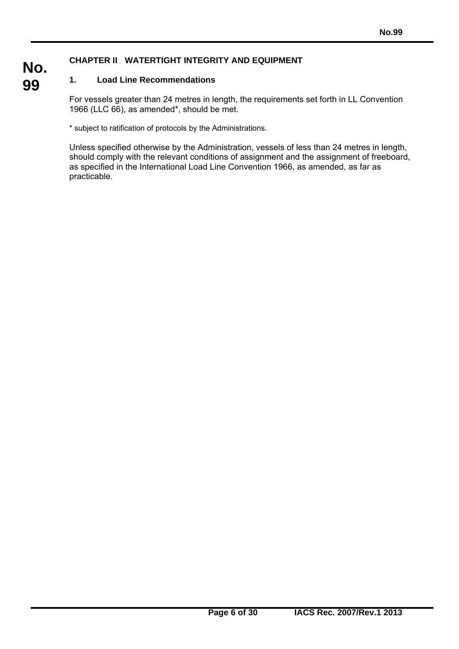### **CHAPTER II WATERTIGHT INTEGRITY AND EQUIPMENT**

#### **1. Load Line Recommendations**

 $\overline{a}$ 

**No.**

**99** 

For vessels greater than 24 metres in length, the requirements set forth in LL Convention 1966 (LLC 66), as amended\*, should be met.

\* subject to ratification of protocols by the Administrations.

Unless specified otherwise by the Administration, vessels of less than 24 metres in length, should comply with the relevant conditions of assignment and the assignment of freeboard, as specified in the International Load Line Convention 1966, as amended, as far as practicable.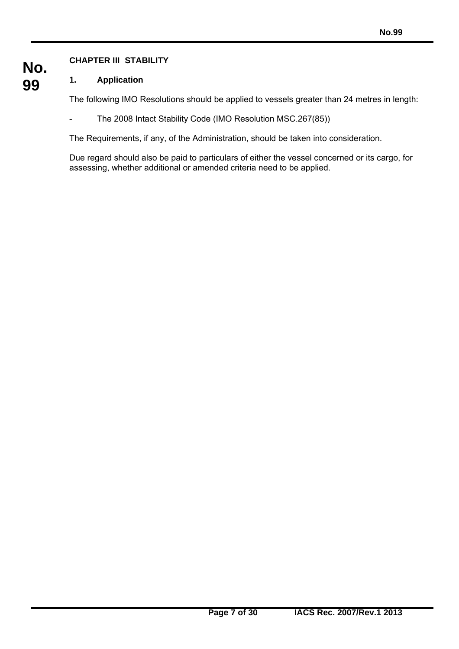## **CHAPTER III STABILITY**

 $\overline{a}$ 

#### **No. 99 1. Application**

The following IMO Resolutions should be applied to vessels greater than 24 metres in length:

- The 2008 Intact Stability Code (IMO Resolution MSC.267(85))

The Requirements, if any, of the Administration, should be taken into consideration.

Due regard should also be paid to particulars of either the vessel concerned or its cargo, for assessing, whether additional or amended criteria need to be applied.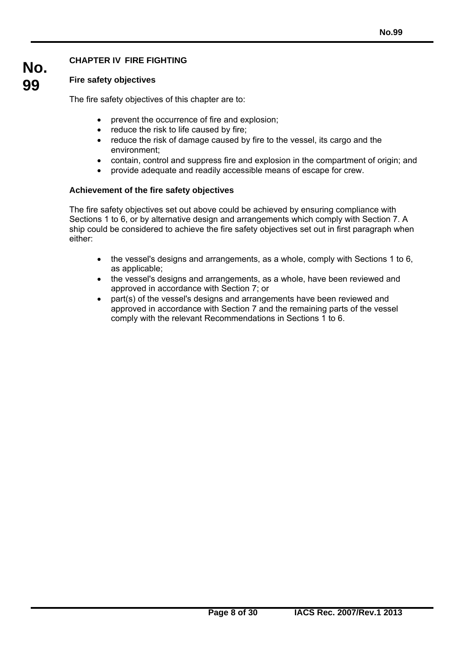### **CHAPTER IV FIRE FIGHTING**

### **Fire safety objectives**

The fire safety objectives of this chapter are to:

- prevent the occurrence of fire and explosion;
- reduce the risk to life caused by fire;
- reduce the risk of damage caused by fire to the vessel, its cargo and the environment;
- contain, control and suppress fire and explosion in the compartment of origin; and
- provide adequate and readily accessible means of escape for crew.

#### **Achievement of the fire safety objectives**

 $\overline{a}$ 

The fire safety objectives set out above could be achieved by ensuring compliance with Sections 1 to 6, or by alternative design and arrangements which comply with Section 7. A ship could be considered to achieve the fire safety objectives set out in first paragraph when either:

- the vessel's designs and arrangements, as a whole, comply with Sections 1 to 6, as applicable;
- the vessel's designs and arrangements, as a whole, have been reviewed and approved in accordance with Section 7; or
- part(s) of the vessel's designs and arrangements have been reviewed and approved in accordance with Section 7 and the remaining parts of the vessel comply with the relevant Recommendations in Sections 1 to 6.

**No. 99**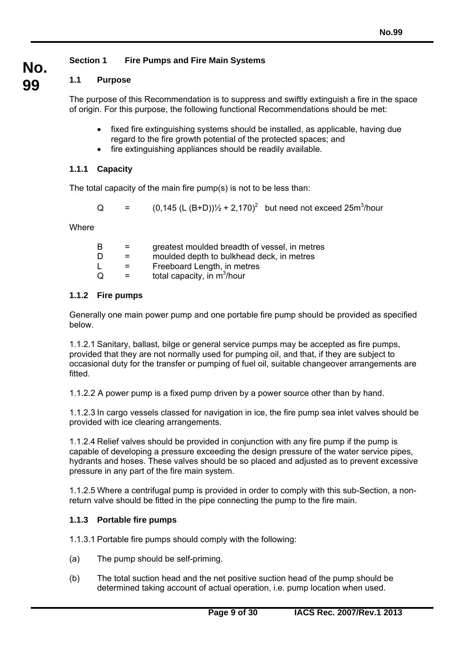### **Section 1 Fire Pumps and Fire Main Systems**

### **1.1 Purpose**

**No.**

**99** 

The purpose of this Recommendation is to suppress and swiftly extinguish a fire in the space of origin. For this purpose, the following functional Recommendations should be met:

- fixed fire extinguishing systems should be installed, as applicable, having due regard to the fire growth potential of the protected spaces; and
- fire extinguishing appliances should be readily available.

### **1.1.1 Capacity**

The total capacity of the main fire pump(s) is not to be less than:

Q  $=$  (0,145 (L (B+D))<sup>1</sup>/<sub>2</sub> + 2,170)<sup>2</sup> but need not exceed 25m<sup>3</sup>/hour

**Where** 

| B |     | greatest moulded breadth of vessel, in metres |
|---|-----|-----------------------------------------------|
| D |     | moulded depth to bulkhead deck, in metres     |
|   | $=$ | Freeboard Length, in metres                   |
| Q | $=$ | total capacity, in m <sup>3</sup> /hour       |
|   |     |                                               |

### **1.1.2 Fire pumps**

Generally one main power pump and one portable fire pump should be provided as specified below.

1.1.2.1 Sanitary, ballast, bilge or general service pumps may be accepted as fire pumps, provided that they are not normally used for pumping oil, and that, if they are subject to occasional duty for the transfer or pumping of fuel oil, suitable changeover arrangements are fitted.

1.1.2.2 A power pump is a fixed pump driven by a power source other than by hand.

1.1.2.3 In cargo vessels classed for navigation in ice, the fire pump sea inlet valves should be provided with ice clearing arrangements.

1.1.2.4 Relief valves should be provided in conjunction with any fire pump if the pump is capable of developing a pressure exceeding the design pressure of the water service pipes, hydrants and hoses. These valves should be so placed and adjusted as to prevent excessive pressure in any part of the fire main system.

1.1.2.5 Where a centrifugal pump is provided in order to comply with this sub-Section, a nonreturn valve should be fitted in the pipe connecting the pump to the fire main.

### **1.1.3 Portable fire pumps**

 $\overline{a}$ 

1.1.3.1 Portable fire pumps should comply with the following:

- (a) The pump should be self-priming.
- (b) The total suction head and the net positive suction head of the pump should be determined taking account of actual operation, i.e. pump location when used.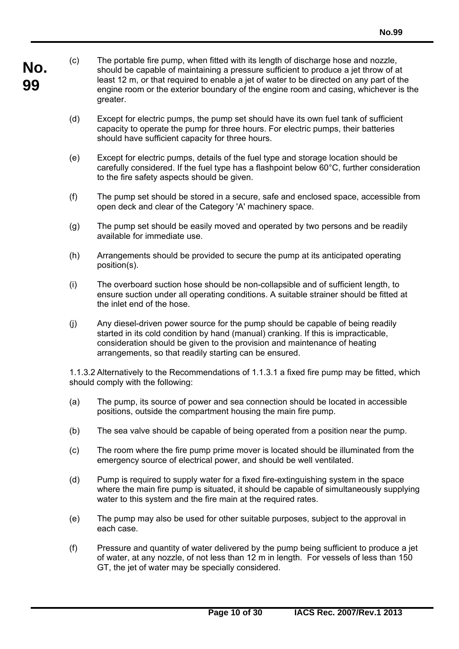- **No. 99**  (c) The portable fire pump, when fitted with its length of discharge hose and nozzle, should be capable of maintaining a pressure sufficient to produce a jet throw of at least 12 m, or that required to enable a jet of water to be directed on any part of the engine room or the exterior boundary of the engine room and casing, whichever is the greater.
	- (d) Except for electric pumps, the pump set should have its own fuel tank of sufficient capacity to operate the pump for three hours. For electric pumps, their batteries should have sufficient capacity for three hours.
	- (e) Except for electric pumps, details of the fuel type and storage location should be carefully considered. If the fuel type has a flashpoint below 60°C, further consideration to the fire safety aspects should be given.
	- (f) The pump set should be stored in a secure, safe and enclosed space, accessible from open deck and clear of the Category 'A' machinery space.
	- (g) The pump set should be easily moved and operated by two persons and be readily available for immediate use.
	- (h) Arrangements should be provided to secure the pump at its anticipated operating position(s).
	- (i) The overboard suction hose should be non-collapsible and of sufficient length, to ensure suction under all operating conditions. A suitable strainer should be fitted at the inlet end of the hose.
	- (j) Any diesel-driven power source for the pump should be capable of being readily started in its cold condition by hand (manual) cranking. If this is impracticable, consideration should be given to the provision and maintenance of heating arrangements, so that readily starting can be ensured.

1.1.3.2 Alternatively to the Recommendations of 1.1.3.1 a fixed fire pump may be fitted, which should comply with the following:

- (a) The pump, its source of power and sea connection should be located in accessible positions, outside the compartment housing the main fire pump.
- (b) The sea valve should be capable of being operated from a position near the pump.
- (c) The room where the fire pump prime mover is located should be illuminated from the emergency source of electrical power, and should be well ventilated.
- (d) Pump is required to supply water for a fixed fire-extinguishing system in the space where the main fire pump is situated, it should be capable of simultaneously supplying water to this system and the fire main at the required rates.
- (e) The pump may also be used for other suitable purposes, subject to the approval in each case.
- (f) Pressure and quantity of water delivered by the pump being sufficient to produce a jet of water, at any nozzle, of not less than 12 m in length. For vessels of less than 150 GT, the jet of water may be specially considered.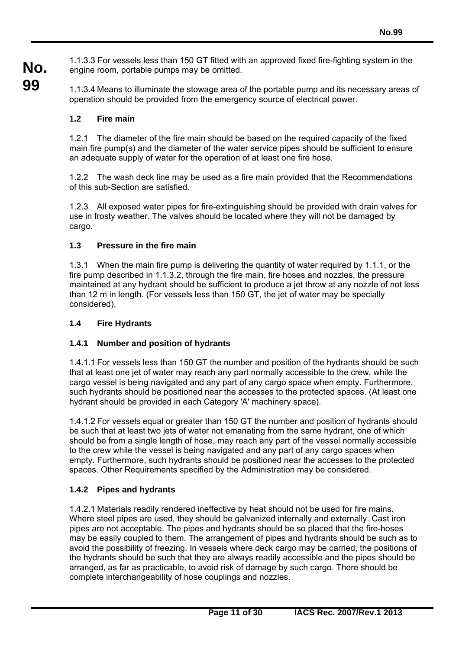**No.** 1.1.3.3 For vessels less than 150 GT fitted with an approved fixed fire-fighting system in the engine room, portable pumps may be omitted.

**99**  1.1.3.4 Means to illuminate the stowage area of the portable pump and its necessary areas of operation should be provided from the emergency source of electrical power.

### **1.2 Fire main**

1.2.1 The diameter of the fire main should be based on the required capacity of the fixed main fire pump(s) and the diameter of the water service pipes should be sufficient to ensure an adequate supply of water for the operation of at least one fire hose.

1.2.2 The wash deck line may be used as a fire main provided that the Recommendations of this sub-Section are satisfied.

1.2.3 All exposed water pipes for fire-extinguishing should be provided with drain valves for use in frosty weather. The valves should be located where they will not be damaged by cargo.

#### **1.3 Pressure in the fire main**

1.3.1 When the main fire pump is delivering the quantity of water required by 1.1.1, or the fire pump described in 1.1.3.2, through the fire main, fire hoses and nozzles, the pressure maintained at any hydrant should be sufficient to produce a jet throw at any nozzle of not less than 12 m in length. (For vessels less than 150 GT, the jet of water may be specially considered).

#### **1.4 Fire Hydrants**

### **1.4.1 Number and position of hydrants**

1.4.1.1 For vessels less than 150 GT the number and position of the hydrants should be such that at least one jet of water may reach any part normally accessible to the crew, while the cargo vessel is being navigated and any part of any cargo space when empty. Furthermore, such hydrants should be positioned near the accesses to the protected spaces. (At least one hydrant should be provided in each Category 'A' machinery space).

1.4.1.2 For vessels equal or greater than 150 GT the number and position of hydrants should be such that at least two jets of water not emanating from the same hydrant, one of which should be from a single length of hose, may reach any part of the vessel normally accessible to the crew while the vessel is being navigated and any part of any cargo spaces when empty. Furthermore, such hydrants should be positioned near the accesses to the protected spaces. Other Requirements specified by the Administration may be considered.

### **1.4.2 Pipes and hydrants**

 $\overline{a}$ 

1.4.2.1 Materials readily rendered ineffective by heat should not be used for fire mains. Where steel pipes are used, they should be galvanized internally and externally. Cast iron pipes are not acceptable. The pipes and hydrants should be so placed that the fire-hoses may be easily coupled to them. The arrangement of pipes and hydrants should be such as to avoid the possibility of freezing. In vessels where deck cargo may be carried, the positions of the hydrants should be such that they are always readily accessible and the pipes should be arranged, as far as practicable, to avoid risk of damage by such cargo. There should be complete interchangeability of hose couplings and nozzles.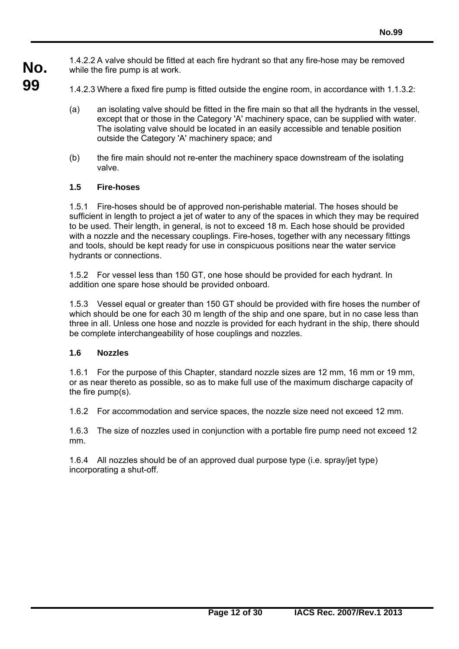**No.** 1.4.2.2 A valve should be fitted at each fire hydrant so that any fire-hose may be removed while the fire pump is at work.

- 1.4.2.3 Where a fixed fire pump is fitted outside the engine room, in accordance with 1.1.3.2:
	- (a) an isolating valve should be fitted in the fire main so that all the hydrants in the vessel, except that or those in the Category 'A' machinery space, can be supplied with water. The isolating valve should be located in an easily accessible and tenable position outside the Category 'A' machinery space; and
	- (b) the fire main should not re-enter the machinery space downstream of the isolating valve.

#### **1.5 Fire-hoses**

**99** 

1.5.1 Fire-hoses should be of approved non-perishable material. The hoses should be sufficient in length to project a jet of water to any of the spaces in which they may be required to be used. Their length, in general, is not to exceed 18 m. Each hose should be provided with a nozzle and the necessary couplings. Fire-hoses, together with any necessary fittings and tools, should be kept ready for use in conspicuous positions near the water service hydrants or connections.

1.5.2 For vessel less than 150 GT, one hose should be provided for each hydrant. In addition one spare hose should be provided onboard.

1.5.3 Vessel equal or greater than 150 GT should be provided with fire hoses the number of which should be one for each 30 m length of the ship and one spare, but in no case less than three in all. Unless one hose and nozzle is provided for each hydrant in the ship, there should be complete interchangeability of hose couplings and nozzles.

#### **1.6 Nozzles**

 $\overline{a}$ 

1.6.1 For the purpose of this Chapter, standard nozzle sizes are 12 mm, 16 mm or 19 mm, or as near thereto as possible, so as to make full use of the maximum discharge capacity of the fire pump(s).

1.6.2 For accommodation and service spaces, the nozzle size need not exceed 12 mm.

1.6.3 The size of nozzles used in conjunction with a portable fire pump need not exceed 12 mm.

1.6.4 All nozzles should be of an approved dual purpose type (i.e. spray/jet type) incorporating a shut-off.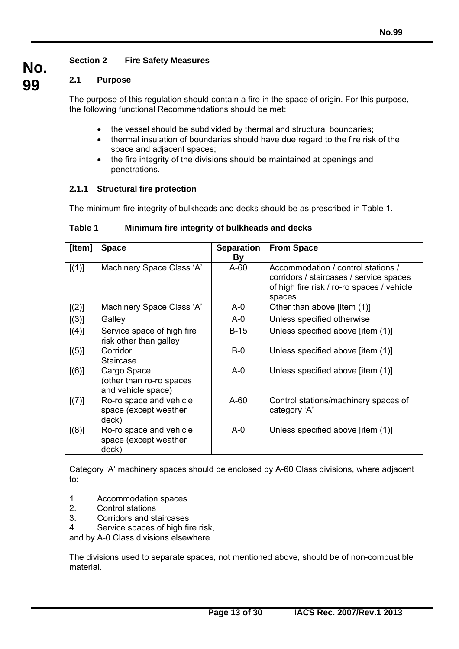### **Section 2 Fire Safety Measures**

### **2.1 Purpose**

**No.**

**99** 

The purpose of this regulation should contain a fire in the space of origin. For this purpose, the following functional Recommendations should be met:

- the vessel should be subdivided by thermal and structural boundaries;
- thermal insulation of boundaries should have due regard to the fire risk of the space and adjacent spaces;
- the fire integrity of the divisions should be maintained at openings and penetrations.

#### **2.1.1 Structural fire protection**

The minimum fire integrity of bulkheads and decks should be as prescribed in Table 1.

| [Item] | <b>Space</b>                                                  | <b>Separation</b><br><b>By</b> | <b>From Space</b>                                                                                                                     |
|--------|---------------------------------------------------------------|--------------------------------|---------------------------------------------------------------------------------------------------------------------------------------|
| [(1)]  | Machinery Space Class 'A'                                     | $A-60$                         | Accommodation / control stations /<br>corridors / staircases / service spaces<br>of high fire risk / ro-ro spaces / vehicle<br>spaces |
| [(2)]  | Machinery Space Class 'A'                                     | $A - 0$                        | Other than above [item (1)]                                                                                                           |
| [(3)]  | Galley                                                        | $A - 0$                        | Unless specified otherwise                                                                                                            |
| [(4)]  | Service space of high fire<br>risk other than galley          | $B-15$                         | Unless specified above [item (1)]                                                                                                     |
| [(5)]  | Corridor<br><b>Staircase</b>                                  | $B-0$                          | Unless specified above [item (1)]                                                                                                     |
| [(6)]  | Cargo Space<br>(other than ro-ro spaces<br>and vehicle space) | $A - 0$                        | Unless specified above [item (1)]                                                                                                     |
| [(7)]  | Ro-ro space and vehicle<br>space (except weather<br>deck)     | $A-60$                         | Control stations/machinery spaces of<br>category 'A'                                                                                  |
| [(8)]  | Ro-ro space and vehicle<br>space (except weather<br>deck)     | $A - 0$                        | Unless specified above [item (1)]                                                                                                     |

**Table 1 Minimum fire integrity of bulkheads and decks** 

Category 'A' machinery spaces should be enclosed by A-60 Class divisions, where adjacent to:

- 1. Accommodation spaces
- 2. Control stations
- 3. Corridors and staircases

 $\overline{a}$ 

4. Service spaces of high fire risk,

and by A-0 Class divisions elsewhere.

The divisions used to separate spaces, not mentioned above, should be of non-combustible material.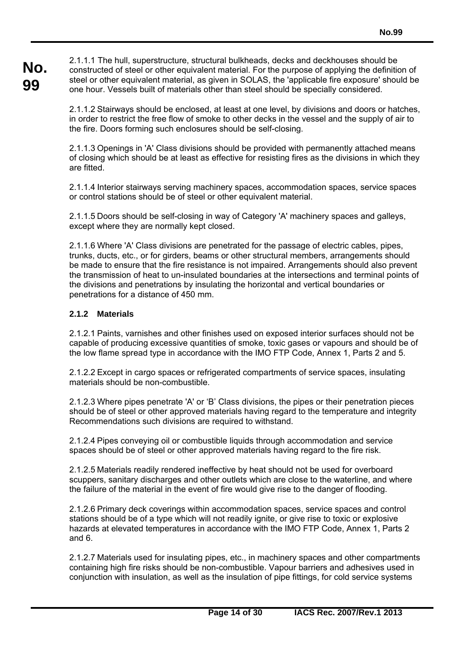**No. 99**  2.1.1.1 The hull, superstructure, structural bulkheads, decks and deckhouses should be constructed of steel or other equivalent material. For the purpose of applying the definition of steel or other equivalent material, as given in SOLAS, the 'applicable fire exposure' should be one hour. Vessels built of materials other than steel should be specially considered.

> 2.1.1.2 Stairways should be enclosed, at least at one level, by divisions and doors or hatches, in order to restrict the free flow of smoke to other decks in the vessel and the supply of air to the fire. Doors forming such enclosures should be self-closing.

> 2.1.1.3 Openings in 'A' Class divisions should be provided with permanently attached means of closing which should be at least as effective for resisting fires as the divisions in which they are fitted.

> 2.1.1.4 Interior stairways serving machinery spaces, accommodation spaces, service spaces or control stations should be of steel or other equivalent material.

2.1.1.5 Doors should be self-closing in way of Category 'A' machinery spaces and galleys, except where they are normally kept closed.

2.1.1.6 Where 'A' Class divisions are penetrated for the passage of electric cables, pipes, trunks, ducts, etc., or for girders, beams or other structural members, arrangements should be made to ensure that the fire resistance is not impaired. Arrangements should also prevent the transmission of heat to un-insulated boundaries at the intersections and terminal points of the divisions and penetrations by insulating the horizontal and vertical boundaries or penetrations for a distance of 450 mm.

#### **2.1.2 Materials**

 $\overline{a}$ 

2.1.2.1 Paints, varnishes and other finishes used on exposed interior surfaces should not be capable of producing excessive quantities of smoke, toxic gases or vapours and should be of the low flame spread type in accordance with the IMO FTP Code, Annex 1, Parts 2 and 5.

2.1.2.2 Except in cargo spaces or refrigerated compartments of service spaces, insulating materials should be non-combustible.

2.1.2.3 Where pipes penetrate 'A' or 'B' Class divisions, the pipes or their penetration pieces should be of steel or other approved materials having regard to the temperature and integrity Recommendations such divisions are required to withstand.

2.1.2.4 Pipes conveying oil or combustible liquids through accommodation and service spaces should be of steel or other approved materials having regard to the fire risk.

2.1.2.5 Materials readily rendered ineffective by heat should not be used for overboard scuppers, sanitary discharges and other outlets which are close to the waterline, and where the failure of the material in the event of fire would give rise to the danger of flooding.

2.1.2.6 Primary deck coverings within accommodation spaces, service spaces and control stations should be of a type which will not readily ignite, or give rise to toxic or explosive hazards at elevated temperatures in accordance with the IMO FTP Code, Annex 1, Parts 2 and 6.

2.1.2.7 Materials used for insulating pipes, etc., in machinery spaces and other compartments containing high fire risks should be non-combustible. Vapour barriers and adhesives used in conjunction with insulation, as well as the insulation of pipe fittings, for cold service systems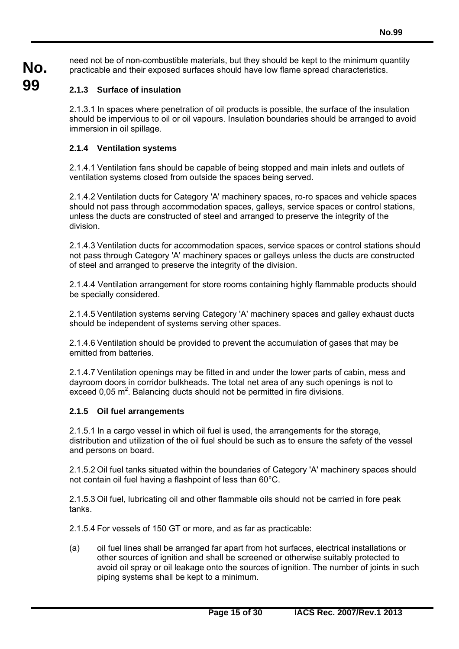**No.** need not be of non-combustible materials, but they should be kept to the minimum quantity practicable and their exposed surfaces should have low flame spread characteristics.

## **99**

### **2.1.3 Surface of insulation**

2.1.3.1 In spaces where penetration of oil products is possible, the surface of the insulation should be impervious to oil or oil vapours. Insulation boundaries should be arranged to avoid immersion in oil spillage.

### **2.1.4 Ventilation systems**

2.1.4.1 Ventilation fans should be capable of being stopped and main inlets and outlets of ventilation systems closed from outside the spaces being served.

2.1.4.2 Ventilation ducts for Category 'A' machinery spaces, ro-ro spaces and vehicle spaces should not pass through accommodation spaces, galleys, service spaces or control stations, unless the ducts are constructed of steel and arranged to preserve the integrity of the division.

2.1.4.3 Ventilation ducts for accommodation spaces, service spaces or control stations should not pass through Category 'A' machinery spaces or galleys unless the ducts are constructed of steel and arranged to preserve the integrity of the division.

2.1.4.4 Ventilation arrangement for store rooms containing highly flammable products should be specially considered.

2.1.4.5 Ventilation systems serving Category 'A' machinery spaces and galley exhaust ducts should be independent of systems serving other spaces.

2.1.4.6 Ventilation should be provided to prevent the accumulation of gases that may be emitted from batteries.

2.1.4.7 Ventilation openings may be fitted in and under the lower parts of cabin, mess and dayroom doors in corridor bulkheads. The total net area of any such openings is not to exceed  $0.05 \text{ m}^2$ . Balancing ducts should not be permitted in fire divisions.

### **2.1.5 Oil fuel arrangements**

 $\overline{a}$ 

2.1.5.1 In a cargo vessel in which oil fuel is used, the arrangements for the storage, distribution and utilization of the oil fuel should be such as to ensure the safety of the vessel and persons on board.

2.1.5.2 Oil fuel tanks situated within the boundaries of Category 'A' machinery spaces should not contain oil fuel having a flashpoint of less than 60°C.

2.1.5.3 Oil fuel, lubricating oil and other flammable oils should not be carried in fore peak tanks.

2.1.5.4 For vessels of 150 GT or more, and as far as practicable:

(a) oil fuel lines shall be arranged far apart from hot surfaces, electrical installations or other sources of ignition and shall be screened or otherwise suitably protected to avoid oil spray or oil leakage onto the sources of ignition. The number of joints in such piping systems shall be kept to a minimum.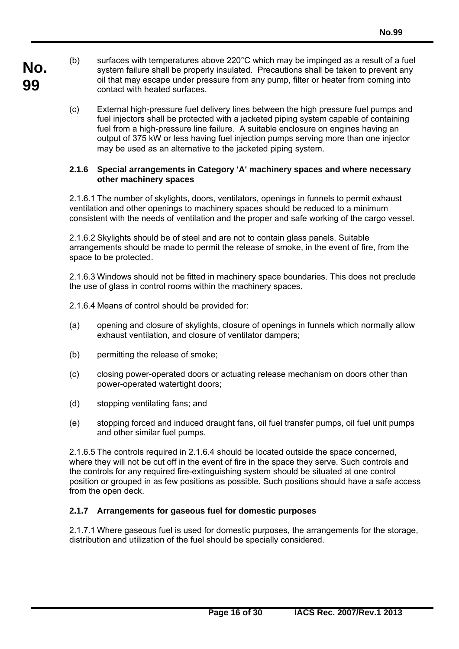- **No. 99**  (b) surfaces with temperatures above 220°C which may be impinged as a result of a fuel system failure shall be properly insulated. Precautions shall be taken to prevent any oil that may escape under pressure from any pump, filter or heater from coming into contact with heated surfaces.
	- (c) External high-pressure fuel delivery lines between the high pressure fuel pumps and fuel injectors shall be protected with a jacketed piping system capable of containing fuel from a high-pressure line failure. A suitable enclosure on engines having an output of 375 kW or less having fuel injection pumps serving more than one injector may be used as an alternative to the jacketed piping system.

#### **2.1.6 Special arrangements in Category 'A' machinery spaces and where necessary other machinery spaces**

2.1.6.1 The number of skylights, doors, ventilators, openings in funnels to permit exhaust ventilation and other openings to machinery spaces should be reduced to a minimum consistent with the needs of ventilation and the proper and safe working of the cargo vessel.

2.1.6.2 Skylights should be of steel and are not to contain glass panels. Suitable arrangements should be made to permit the release of smoke, in the event of fire, from the space to be protected.

2.1.6.3 Windows should not be fitted in machinery space boundaries. This does not preclude the use of glass in control rooms within the machinery spaces.

2.1.6.4 Means of control should be provided for:

- (a) opening and closure of skylights, closure of openings in funnels which normally allow exhaust ventilation, and closure of ventilator dampers;
- (b) permitting the release of smoke;
- (c) closing power-operated doors or actuating release mechanism on doors other than power-operated watertight doors;
- (d) stopping ventilating fans; and

 $\overline{a}$ 

(e) stopping forced and induced draught fans, oil fuel transfer pumps, oil fuel unit pumps and other similar fuel pumps.

2.1.6.5 The controls required in 2.1.6.4 should be located outside the space concerned, where they will not be cut off in the event of fire in the space they serve. Such controls and the controls for any required fire-extinguishing system should be situated at one control position or grouped in as few positions as possible. Such positions should have a safe access from the open deck.

#### **2.1.7 Arrangements for gaseous fuel for domestic purposes**

2.1.7.1 Where gaseous fuel is used for domestic purposes, the arrangements for the storage, distribution and utilization of the fuel should be specially considered.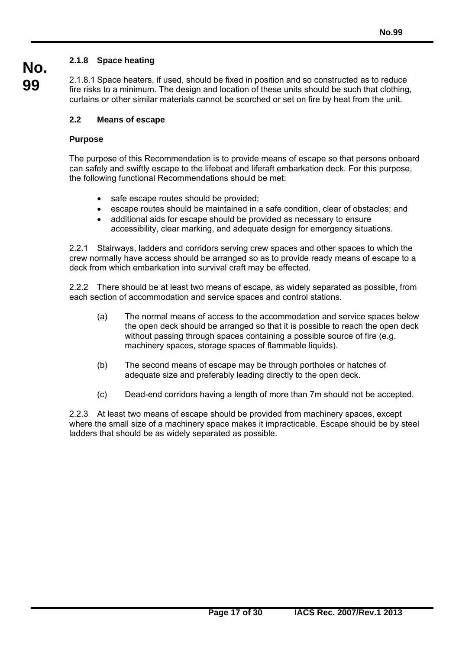### **2.1.8 Space heating**

2.1.8.1 Space heaters, if used, should be fixed in position and so constructed as to reduce fire risks to a minimum. The design and location of these units should be such that clothing, curtains or other similar materials cannot be scorched or set on fire by heat from the unit.

### **2.2 Means of escape**

 $\overline{a}$ 

### **Purpose**

**No.**

**99** 

The purpose of this Recommendation is to provide means of escape so that persons onboard can safely and swiftly escape to the lifeboat and liferaft embarkation deck. For this purpose, the following functional Recommendations should be met:

- safe escape routes should be provided;
- escape routes should be maintained in a safe condition, clear of obstacles; and
- additional aids for escape should be provided as necessary to ensure accessibility, clear marking, and adequate design for emergency situations.

2.2.1 Stairways, ladders and corridors serving crew spaces and other spaces to which the crew normally have access should be arranged so as to provide ready means of escape to a deck from which embarkation into survival craft may be effected.

2.2.2 There should be at least two means of escape, as widely separated as possible, from each section of accommodation and service spaces and control stations.

- (a) The normal means of access to the accommodation and service spaces below the open deck should be arranged so that it is possible to reach the open deck without passing through spaces containing a possible source of fire (e.g. machinery spaces, storage spaces of flammable liquids).
- (b) The second means of escape may be through portholes or hatches of adequate size and preferably leading directly to the open deck.
- (c) Dead-end corridors having a length of more than 7m should not be accepted.

2.2.3 At least two means of escape should be provided from machinery spaces, except where the small size of a machinery space makes it impracticable. Escape should be by steel ladders that should be as widely separated as possible.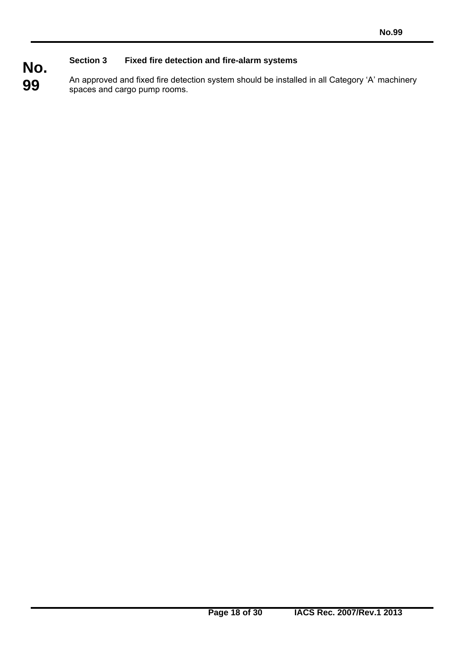#### **No. Section 3 Fixed fire detection and fire-alarm systems**

 $\overline{a}$ 

**99**  An approved and fixed fire detection system should be installed in all Category 'A' machinery spaces and cargo pump rooms.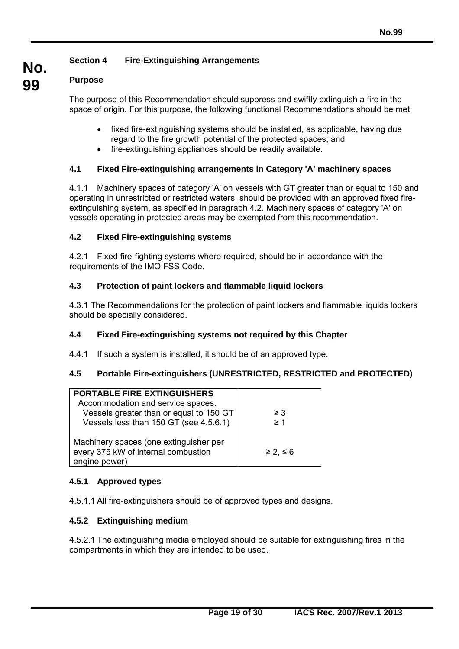### **Section 4 Fire-Extinguishing Arrangements**

#### **99 Purpose**

**No.**

The purpose of this Recommendation should suppress and swiftly extinguish a fire in the space of origin. For this purpose, the following functional Recommendations should be met:

- fixed fire-extinguishing systems should be installed, as applicable, having due regard to the fire growth potential of the protected spaces; and
- fire-extinguishing appliances should be readily available.

#### **4.1 Fixed Fire-extinguishing arrangements in Category 'A' machinery spaces**

4.1.1 Machinery spaces of category 'A' on vessels with GT greater than or equal to 150 and operating in unrestricted or restricted waters, should be provided with an approved fixed fireextinguishing system, as specified in paragraph 4.2. Machinery spaces of category 'A' on vessels operating in protected areas may be exempted from this recommendation.

#### **4.2 Fixed Fire-extinguishing systems**

4.2.1 Fixed fire-fighting systems where required, should be in accordance with the requirements of the IMO FSS Code.

#### **4.3 Protection of paint lockers and flammable liquid lockers**

4.3.1 The Recommendations for the protection of paint lockers and flammable liquids lockers should be specially considered.

#### **4.4 Fixed Fire-extinguishing systems not required by this Chapter**

4.4.1 If such a system is installed, it should be of an approved type.

### **4.5 Portable Fire-extinguishers (UNRESTRICTED, RESTRICTED and PROTECTED)**

| <b>PORTABLE FIRE EXTINGUISHERS</b><br>Accommodation and service spaces.<br>Vessels greater than or equal to 150 GT<br>Vessels less than 150 GT (see 4.5.6.1) | $\geq$ 3<br>$\geq 1$ |
|--------------------------------------------------------------------------------------------------------------------------------------------------------------|----------------------|
| Machinery spaces (one extinguisher per<br>every 375 kW of internal combustion<br>engine power)                                                               | $\geq$ 2, $\leq$ 6   |

#### **4.5.1 Approved types**

4.5.1.1 All fire-extinguishers should be of approved types and designs.

#### **4.5.2 Extinguishing medium**

 $\overline{a}$ 

4.5.2.1 The extinguishing media employed should be suitable for extinguishing fires in the compartments in which they are intended to be used.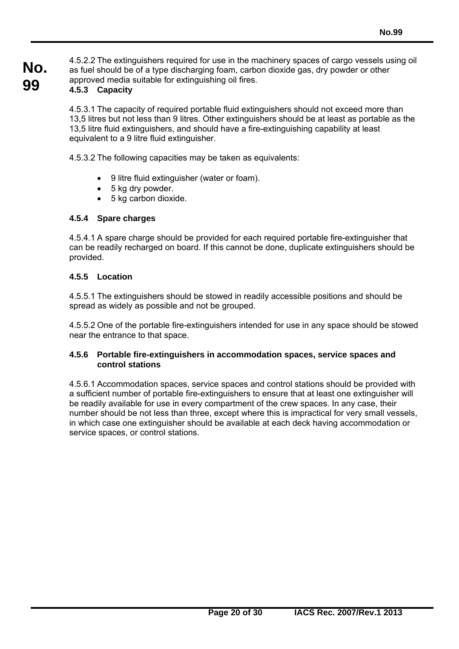**No. 99**  4.5.2.2 The extinguishers required for use in the machinery spaces of cargo vessels using oil as fuel should be of a type discharging foam, carbon dioxide gas, dry powder or other approved media suitable for extinguishing oil fires.

### **4.5.3 Capacity**

4.5.3.1 The capacity of required portable fluid extinguishers should not exceed more than 13,5 litres but not less than 9 litres. Other extinguishers should be at least as portable as the 13,5 litre fluid extinguishers, and should have a fire-extinguishing capability at least equivalent to a 9 litre fluid extinguisher.

4.5.3.2 The following capacities may be taken as equivalents:

- 9 litre fluid extinguisher (water or foam).
- 5 kg dry powder.
- 5 kg carbon dioxide.

#### **4.5.4 Spare charges**

4.5.4.1 A spare charge should be provided for each required portable fire-extinguisher that can be readily recharged on board. If this cannot be done, duplicate extinguishers should be provided.

#### **4.5.5 Location**

 $\overline{a}$ 

4.5.5.1 The extinguishers should be stowed in readily accessible positions and should be spread as widely as possible and not be grouped.

4.5.5.2 One of the portable fire-extinguishers intended for use in any space should be stowed near the entrance to that space.

#### **4.5.6 Portable fire-extinguishers in accommodation spaces, service spaces and control stations**

4.5.6.1 Accommodation spaces, service spaces and control stations should be provided with a sufficient number of portable fire-extinguishers to ensure that at least one extinguisher will be readily available for use in every compartment of the crew spaces. In any case, their number should be not less than three, except where this is impractical for very small vessels, in which case one extinguisher should be available at each deck having accommodation or service spaces, or control stations.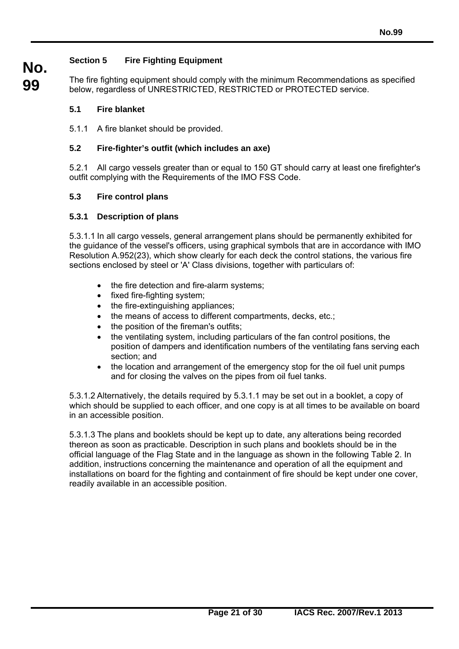### **Section 5 Fire Fighting Equipment**

**99**  The fire fighting equipment should comply with the minimum Recommendations as specified below, regardless of UNRESTRICTED, RESTRICTED or PROTECTED service.

#### **5.1 Fire blanket**

**No.**

5.1.1 A fire blanket should be provided.

#### **5.2 Fire-fighter's outfit (which includes an axe)**

5.2.1 All cargo vessels greater than or equal to 150 GT should carry at least one firefighter's outfit complying with the Requirements of the IMO FSS Code.

#### **5.3 Fire control plans**

#### **5.3.1 Description of plans**

 $\overline{a}$ 

5.3.1.1 In all cargo vessels, general arrangement plans should be permanently exhibited for the guidance of the vessel's officers, using graphical symbols that are in accordance with IMO Resolution A.952(23), which show clearly for each deck the control stations, the various fire sections enclosed by steel or 'A' Class divisions, together with particulars of:

- the fire detection and fire-alarm systems;
- fixed fire-fighting system;
- the fire-extinguishing appliances;
- the means of access to different compartments, decks, etc.;
- the position of the fireman's outfits:
- the ventilating system, including particulars of the fan control positions, the position of dampers and identification numbers of the ventilating fans serving each section; and
- the location and arrangement of the emergency stop for the oil fuel unit pumps and for closing the valves on the pipes from oil fuel tanks.

5.3.1.2 Alternatively, the details required by 5.3.1.1 may be set out in a booklet, a copy of which should be supplied to each officer, and one copy is at all times to be available on board in an accessible position.

5.3.1.3 The plans and booklets should be kept up to date, any alterations being recorded thereon as soon as practicable. Description in such plans and booklets should be in the official language of the Flag State and in the language as shown in the following Table 2. In addition, instructions concerning the maintenance and operation of all the equipment and installations on board for the fighting and containment of fire should be kept under one cover, readily available in an accessible position.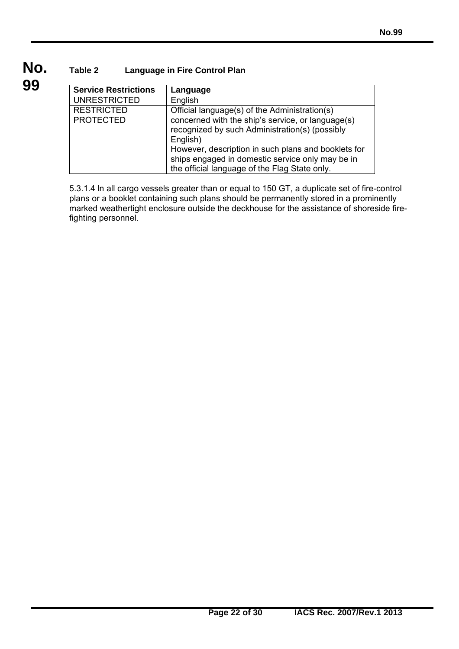### **Table 2 Language in Fire Control Plan**

 $\overline{a}$ 

**99** 

**No.**

| <b>Service Restrictions</b> | Language                                            |
|-----------------------------|-----------------------------------------------------|
| <b>UNRESTRICTED</b>         | English                                             |
| <b>RESTRICTED</b>           | Official language(s) of the Administration(s)       |
| <b>PROTECTED</b>            | concerned with the ship's service, or language(s)   |
|                             | recognized by such Administration(s) (possibly      |
|                             | English)                                            |
|                             | However, description in such plans and booklets for |
|                             | ships engaged in domestic service only may be in    |
|                             | the official language of the Flag State only.       |

5.3.1.4 In all cargo vessels greater than or equal to 150 GT, a duplicate set of fire-control plans or a booklet containing such plans should be permanently stored in a prominently marked weathertight enclosure outside the deckhouse for the assistance of shoreside firefighting personnel.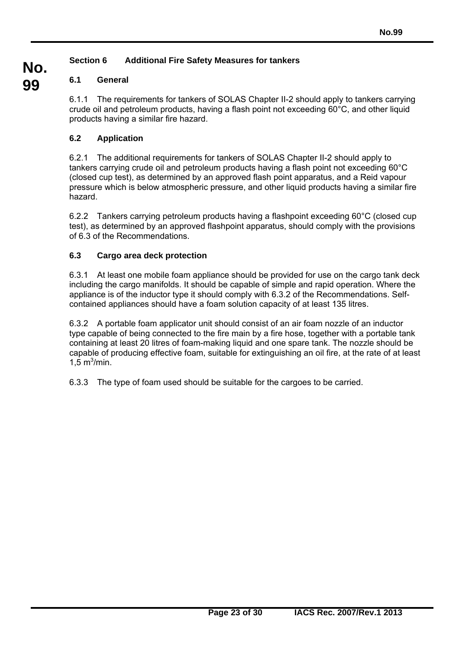### **Section 6 Additional Fire Safety Measures for tankers**

### **6.1 General**

**No.**

**99** 

6.1.1 The requirements for tankers of SOLAS Chapter II-2 should apply to tankers carrying crude oil and petroleum products, having a flash point not exceeding 60°C, and other liquid products having a similar fire hazard.

### **6.2 Application**

6.2.1 The additional requirements for tankers of SOLAS Chapter II-2 should apply to tankers carrying crude oil and petroleum products having a flash point not exceeding 60°C (closed cup test), as determined by an approved flash point apparatus, and a Reid vapour pressure which is below atmospheric pressure, and other liquid products having a similar fire hazard.

6.2.2 Tankers carrying petroleum products having a flashpoint exceeding 60°C (closed cup test), as determined by an approved flashpoint apparatus, should comply with the provisions of 6.3 of the Recommendations.

### **6.3 Cargo area deck protection**

 $\overline{a}$ 

6.3.1 At least one mobile foam appliance should be provided for use on the cargo tank deck including the cargo manifolds. It should be capable of simple and rapid operation. Where the appliance is of the inductor type it should comply with 6.3.2 of the Recommendations. Selfcontained appliances should have a foam solution capacity of at least 135 litres.

6.3.2 A portable foam applicator unit should consist of an air foam nozzle of an inductor type capable of being connected to the fire main by a fire hose, together with a portable tank containing at least 20 litres of foam-making liquid and one spare tank. The nozzle should be capable of producing effective foam, suitable for extinguishing an oil fire, at the rate of at least  $1,5 \text{ m}^3/\text{min}$ .

6.3.3 The type of foam used should be suitable for the cargoes to be carried.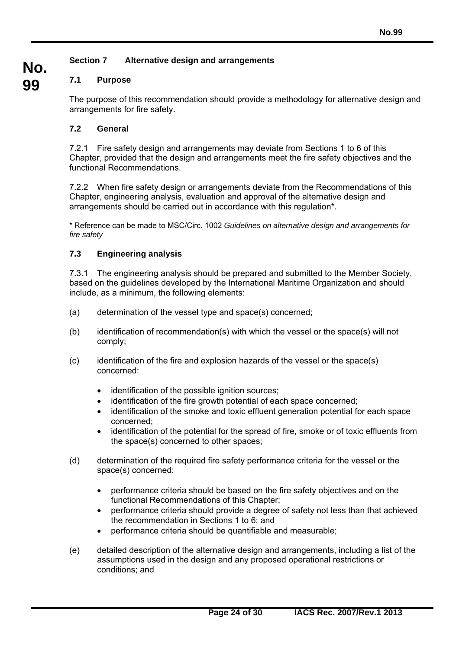### **Section 7 Alternative design and arrangements**

### **7.1 Purpose**

**No.**

**99** 

The purpose of this recommendation should provide a methodology for alternative design and arrangements for fire safety.

### **7.2 General**

7.2.1 Fire safety design and arrangements may deviate from Sections 1 to 6 of this Chapter, provided that the design and arrangements meet the fire safety objectives and the functional Recommendations.

7.2.2 When fire safety design or arrangements deviate from the Recommendations of this Chapter, engineering analysis, evaluation and approval of the alternative design and arrangements should be carried out in accordance with this regulation\*.

\* Reference can be made to MSC/Circ. 1002 *Guidelines on alternative design and arrangements for fire safety*

#### **7.3 Engineering analysis**

 $\overline{a}$ 

7.3.1 The engineering analysis should be prepared and submitted to the Member Society, based on the guidelines developed by the International Maritime Organization and should include, as a minimum, the following elements:

- (a) determination of the vessel type and space(s) concerned;
- (b) identification of recommendation(s) with which the vessel or the space(s) will not comply;
- (c) identification of the fire and explosion hazards of the vessel or the space(s) concerned:
	- identification of the possible ignition sources;
	- identification of the fire growth potential of each space concerned;
	- identification of the smoke and toxic effluent generation potential for each space concerned;
	- identification of the potential for the spread of fire, smoke or of toxic effluents from the space(s) concerned to other spaces;
- (d) determination of the required fire safety performance criteria for the vessel or the space(s) concerned:
	- performance criteria should be based on the fire safety objectives and on the functional Recommendations of this Chapter;
	- performance criteria should provide a degree of safety not less than that achieved the recommendation in Sections 1 to 6; and
	- performance criteria should be quantifiable and measurable;
- (e) detailed description of the alternative design and arrangements, including a list of the assumptions used in the design and any proposed operational restrictions or conditions; and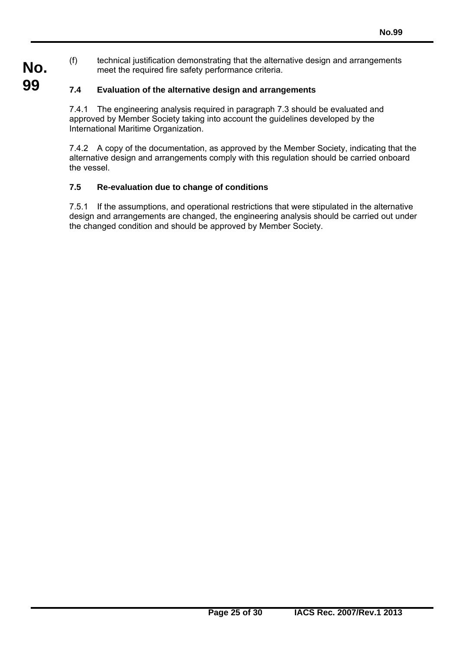(f) technical justification demonstrating that the alternative design and arrangements meet the required fire safety performance criteria.

### **7.4 Evaluation of the alternative design and arrangements**

**No.**

**99** 

7.4.1 The engineering analysis required in paragraph 7.3 should be evaluated and approved by Member Society taking into account the guidelines developed by the International Maritime Organization.

7.4.2 A copy of the documentation, as approved by the Member Society, indicating that the alternative design and arrangements comply with this regulation should be carried onboard the vessel.

### **7.5 Re-evaluation due to change of conditions**

 $\overline{a}$ 

7.5.1 If the assumptions, and operational restrictions that were stipulated in the alternative design and arrangements are changed, the engineering analysis should be carried out under the changed condition and should be approved by Member Society.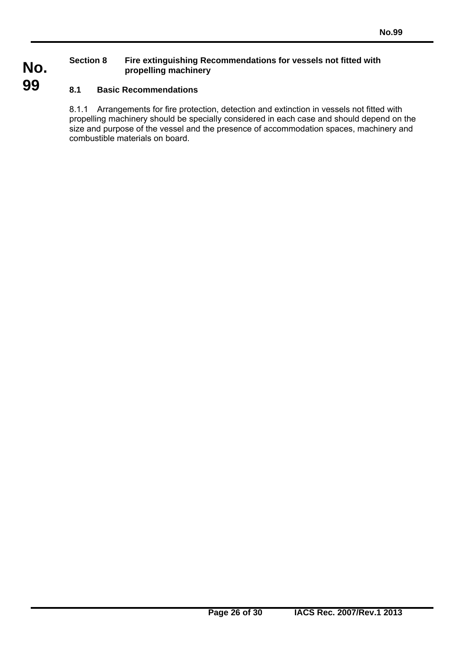#### **Section 8 Fire extinguishing Recommendations for vessels not fitted with propelling machinery**

### **8.1 Basic Recommendations**

 $\overline{a}$ 

**No.**

**99** 

8.1.1 Arrangements for fire protection, detection and extinction in vessels not fitted with propelling machinery should be specially considered in each case and should depend on the size and purpose of the vessel and the presence of accommodation spaces, machinery and combustible materials on board.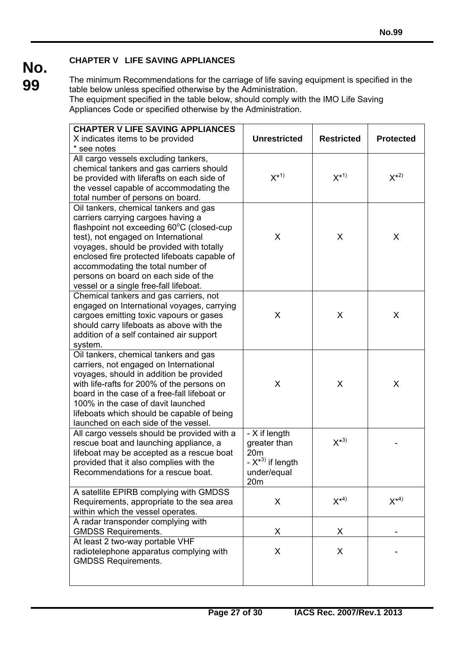### **CHAPTER V LIFE SAVING APPLIANCES**

**No. 99** 

The minimum Recommendations for the carriage of life saving equipment is specified in the table below unless specified otherwise by the Administration. The equipment specified in the table below, should comply with the IMO Life Saving Appliances Code or specified otherwise by the Administration.

| <b>CHAPTER V LIFE SAVING APPLIANCES</b>                                       |                                         |                   |                  |  |
|-------------------------------------------------------------------------------|-----------------------------------------|-------------------|------------------|--|
| X indicates items to be provided                                              | <b>Unrestricted</b>                     | <b>Restricted</b> | <b>Protected</b> |  |
| * see notes                                                                   |                                         |                   |                  |  |
| All cargo vessels excluding tankers,                                          |                                         |                   |                  |  |
| chemical tankers and gas carriers should                                      | $X^{*1}$                                | $X^{\star 1}$     | $X^{*2}$         |  |
| be provided with liferafts on each side of                                    |                                         |                   |                  |  |
| the vessel capable of accommodating the<br>total number of persons on board.  |                                         |                   |                  |  |
| Oil tankers, chemical tankers and gas                                         |                                         |                   |                  |  |
| carriers carrying cargoes having a                                            |                                         |                   |                  |  |
| flashpoint not exceeding 60°C (closed-cup                                     |                                         |                   |                  |  |
| test), not engaged on International                                           | X                                       | X                 | X                |  |
| voyages, should be provided with totally                                      |                                         |                   |                  |  |
| enclosed fire protected lifeboats capable of                                  |                                         |                   |                  |  |
| accommodating the total number of                                             |                                         |                   |                  |  |
| persons on board on each side of the                                          |                                         |                   |                  |  |
| vessel or a single free-fall lifeboat.                                        |                                         |                   |                  |  |
| Chemical tankers and gas carriers, not                                        |                                         |                   |                  |  |
| engaged on International voyages, carrying                                    |                                         |                   |                  |  |
| cargoes emitting toxic vapours or gases                                       | X                                       | X                 | X                |  |
| should carry lifeboats as above with the                                      |                                         |                   |                  |  |
| addition of a self contained air support<br>system.                           |                                         |                   |                  |  |
| Oil tankers, chemical tankers and gas                                         |                                         |                   |                  |  |
| carriers, not engaged on International                                        |                                         |                   |                  |  |
| voyages, should in addition be provided                                       |                                         |                   |                  |  |
| with life-rafts for 200% of the persons on                                    | X                                       | X                 | X                |  |
| board in the case of a free-fall lifeboat or                                  |                                         |                   |                  |  |
| 100% in the case of davit launched                                            |                                         |                   |                  |  |
| lifeboats which should be capable of being                                    |                                         |                   |                  |  |
| launched on each side of the vessel.                                          |                                         |                   |                  |  |
| All cargo vessels should be provided with a                                   | - X if length                           |                   |                  |  |
| rescue boat and launching appliance, a                                        | greater than                            | $X^{*3}$          |                  |  |
| lifeboat may be accepted as a rescue boat                                     | 20 <sub>m</sub><br>- $X^{*3}$ if length |                   |                  |  |
| provided that it also complies with the<br>Recommendations for a rescue boat. | under/equal                             |                   |                  |  |
|                                                                               | 20 <sub>m</sub>                         |                   |                  |  |
| A satellite EPIRB complying with GMDSS                                        |                                         |                   |                  |  |
| Requirements, appropriate to the sea area                                     | X                                       | $X^{*4}$          | $X^{*4}$         |  |
| within which the vessel operates.                                             |                                         |                   |                  |  |
| A radar transponder complying with                                            |                                         |                   |                  |  |
| <b>GMDSS Requirements.</b>                                                    | X                                       | X                 |                  |  |
| At least 2 two-way portable VHF                                               |                                         |                   |                  |  |
| radiotelephone apparatus complying with                                       | X                                       | X                 |                  |  |
| <b>GMDSS Requirements.</b>                                                    |                                         |                   |                  |  |
|                                                                               |                                         |                   |                  |  |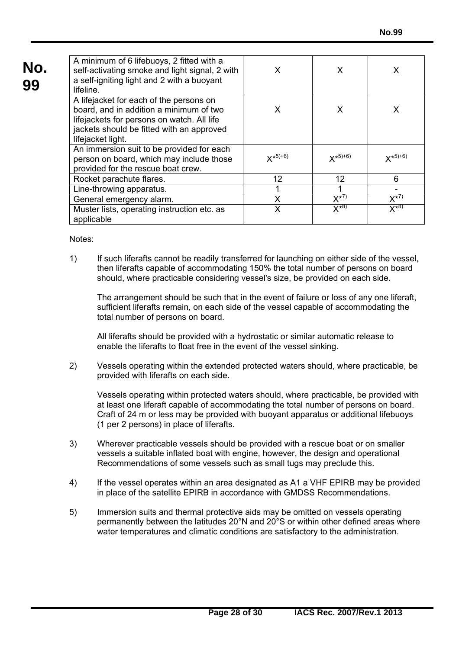| No.<br>99 | A minimum of 6 lifebuoys, 2 fitted with a<br>self-activating smoke and light signal, 2 with<br>a self-igniting light and 2 with a buoyant<br>lifeline.                                             | X               | X                       | X          |
|-----------|----------------------------------------------------------------------------------------------------------------------------------------------------------------------------------------------------|-----------------|-------------------------|------------|
|           | A lifejacket for each of the persons on<br>board, and in addition a minimum of two<br>lifejackets for persons on watch. All life<br>jackets should be fitted with an approved<br>lifejacket light. | X               | X                       | X          |
|           | An immersion suit to be provided for each<br>person on board, which may include those<br>provided for the rescue boat crew.                                                                        | $X^{*5+6}$      | $X^{*5+6}$              | $X^{*5+6}$ |
|           | Rocket parachute flares.                                                                                                                                                                           | 12 <sup>2</sup> | 12                      | 6          |
|           | Line-throwing apparatus.                                                                                                                                                                           |                 |                         |            |
|           | General emergency alarm.                                                                                                                                                                           | X               | $X^{\overline{\star}7}$ | $X^{*7}$   |
|           | Muster lists, operating instruction etc. as<br>applicable                                                                                                                                          | X               | $X^{*8}$                | $X^{*8}$   |

Notes:

 $\overline{a}$ 

1) If such liferafts cannot be readily transferred for launching on either side of the vessel, then liferafts capable of accommodating 150% the total number of persons on board should, where practicable considering vessel's size, be provided on each side.

The arrangement should be such that in the event of failure or loss of any one liferaft, sufficient liferafts remain, on each side of the vessel capable of accommodating the total number of persons on board.

All liferafts should be provided with a hydrostatic or similar automatic release to enable the liferafts to float free in the event of the vessel sinking.

2) Vessels operating within the extended protected waters should, where practicable, be provided with liferafts on each side.

Vessels operating within protected waters should, where practicable, be provided with at least one liferaft capable of accommodating the total number of persons on board. Craft of 24 m or less may be provided with buoyant apparatus or additional lifebuoys (1 per 2 persons) in place of liferafts.

- 3) Wherever practicable vessels should be provided with a rescue boat or on smaller vessels a suitable inflated boat with engine, however, the design and operational Recommendations of some vessels such as small tugs may preclude this.
- 4) If the vessel operates within an area designated as A1 a VHF EPIRB may be provided in place of the satellite EPIRB in accordance with GMDSS Recommendations.
- 5) Immersion suits and thermal protective aids may be omitted on vessels operating permanently between the latitudes 20°N and 20°S or within other defined areas where water temperatures and climatic conditions are satisfactory to the administration.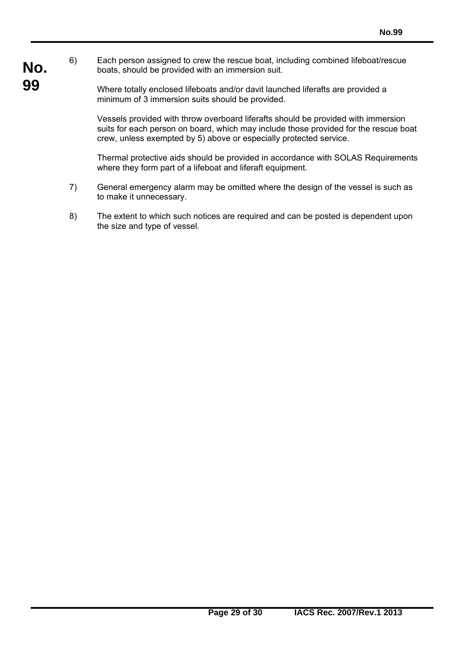- **No.** 6) Each person assigned to crew the rescue boat, including combined lifeboat/rescue boats, should be provided with an immersion suit.
- **99**  Where totally enclosed lifeboats and/or davit launched liferafts are provided a minimum of 3 immersion suits should be provided.

 $\overline{a}$ 

Vessels provided with throw overboard liferafts should be provided with immersion suits for each person on board, which may include those provided for the rescue boat crew, unless exempted by 5) above or especially protected service.

Thermal protective aids should be provided in accordance with SOLAS Requirements where they form part of a lifeboat and liferaft equipment.

- 7) General emergency alarm may be omitted where the design of the vessel is such as to make it unnecessary.
- 8) The extent to which such notices are required and can be posted is dependent upon the size and type of vessel.